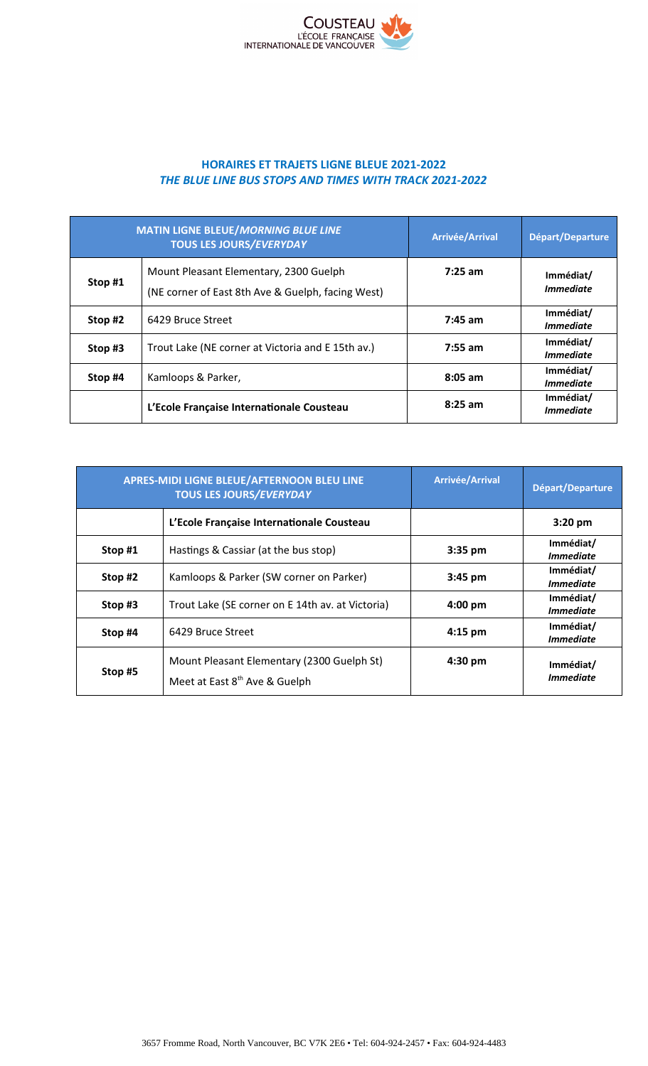

## **HORAIRES ET TRAJETS LIGNE BLEUE 2021-2022** *THE BLUE LINE BUS STOPS AND TIMES WITH TRACK 2021-2022*

| <b>MATIN LIGNE BLEUE/MORNING BLUE LINE</b><br><b>TOUS LES JOURS/EVERYDAY</b> |                                                                                             | <b>Arrivée/Arrival</b> | Départ/Departure                            |
|------------------------------------------------------------------------------|---------------------------------------------------------------------------------------------|------------------------|---------------------------------------------|
| Stop #1                                                                      | Mount Pleasant Elementary, 2300 Guelph<br>(NE corner of East 8th Ave & Guelph, facing West) | $7:25$ am              | Immédiat/<br><i><u><b>Immediate</b></u></i> |
| Stop #2                                                                      | 6429 Bruce Street                                                                           | $7:45$ am              | Immédiat/<br><i><b>Immediate</b></i>        |
| Stop #3                                                                      | Trout Lake (NE corner at Victoria and E 15th av.)                                           | $7:55$ am              | Immédiat/<br><i><u><b>Immediate</b></u></i> |
| Stop #4                                                                      | Kamloops & Parker,                                                                          | $8:05$ am              | Immédiat/<br><i><b>Immediate</b></i>        |
|                                                                              | L'Ecole Française Internationale Cousteau                                                   | $8:25$ am              | Immédiat/<br><i>Immediate</i>               |

|         | APRES-MIDI LIGNE BLEUE/AFTERNOON BLEU LINE<br><b>TOUS LES JOURS/EVERYDAY</b>            | <b>Arrivée/Arrival</b> | Départ/Departure                     |
|---------|-----------------------------------------------------------------------------------------|------------------------|--------------------------------------|
|         | L'Ecole Française Internationale Cousteau                                               |                        | $3:20$ pm                            |
| Stop #1 | Hastings & Cassiar (at the bus stop)                                                    | 3:35 pm                | Immédiat/<br><i><b>Immediate</b></i> |
| Stop #2 | Kamloops & Parker (SW corner on Parker)                                                 | $3:45$ pm              | Immédiat/<br><i><b>Immediate</b></i> |
| Stop #3 | Trout Lake (SE corner on E 14th av. at Victoria)                                        | $4:00 \text{ pm}$      | Immédiat/<br><i><b>Immediate</b></i> |
| Stop #4 | 6429 Bruce Street                                                                       | $4:15$ pm              | Immédiat/<br><i><b>Immediate</b></i> |
| Stop #5 | Mount Pleasant Elementary (2300 Guelph St)<br>Meet at East 8 <sup>th</sup> Ave & Guelph | $4:30$ pm              | Immédiat/<br><i><b>Immediate</b></i> |